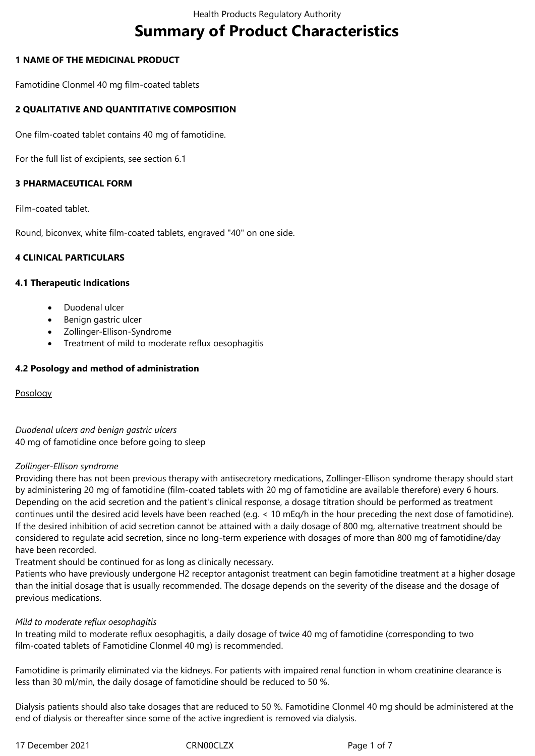# **Summary of Product Characteristics**

## **1 NAME OF THE MEDICINAL PRODUCT**

Famotidine Clonmel 40 mg film-coated tablets

## **2 QUALITATIVE AND QUANTITATIVE COMPOSITION**

One film-coated tablet contains 40 mg of famotidine.

For the full list of excipients, see section 6.1

## **3 PHARMACEUTICAL FORM**

Film-coated tablet.

Round, biconvex, white film-coated tablets, engraved "40" on one side.

## **4 CLINICAL PARTICULARS**

## **4.1 Therapeutic Indications**

- Duodenal ulcer
- Benign gastric ulcer
- Zollinger-Ellison-Syndrome
- Treatment of mild to moderate reflux oesophagitis

## **4.2 Posology and method of administration**

Posology

*Duodenal ulcers and benign gastric ulcers* 40 mg of famotidine once before going to sleep

## *Zollinger-Ellison syndrome*

Providing there has not been previous therapy with antisecretory medications, Zollinger-Ellison syndrome therapy should start by administering 20 mg of famotidine (film-coated tablets with 20 mg of famotidine are available therefore) every 6 hours. Depending on the acid secretion and the patient's clinical response, a dosage titration should be performed as treatment continues until the desired acid levels have been reached (e.g. < 10 mEq/h in the hour preceding the next dose of famotidine). If the desired inhibition of acid secretion cannot be attained with a daily dosage of 800 mg, alternative treatment should be considered to regulate acid secretion, since no long-term experience with dosages of more than 800 mg of famotidine/day have been recorded.

Treatment should be continued for as long as clinically necessary.

Patients who have previously undergone H2 receptor antagonist treatment can begin famotidine treatment at a higher dosage than the initial dosage that is usually recommended. The dosage depends on the severity of the disease and the dosage of previous medications.

## *Mild to moderate reflux oesophagitis*

In treating mild to moderate reflux oesophagitis, a daily dosage of twice 40 mg of famotidine (corresponding to two film-coated tablets of Famotidine Clonmel 40 mg) is recommended.

Famotidine is primarily eliminated via the kidneys. For patients with impaired renal function in whom creatinine clearance is less than 30 ml/min, the daily dosage of famotidine should be reduced to 50 %.

Dialysis patients should also take dosages that are reduced to 50 %. Famotidine Clonmel 40 mg should be administered at the end of dialysis or thereafter since some of the active ingredient is removed via dialysis.

17 December 2021 CRN00CLZX Page 1 of 7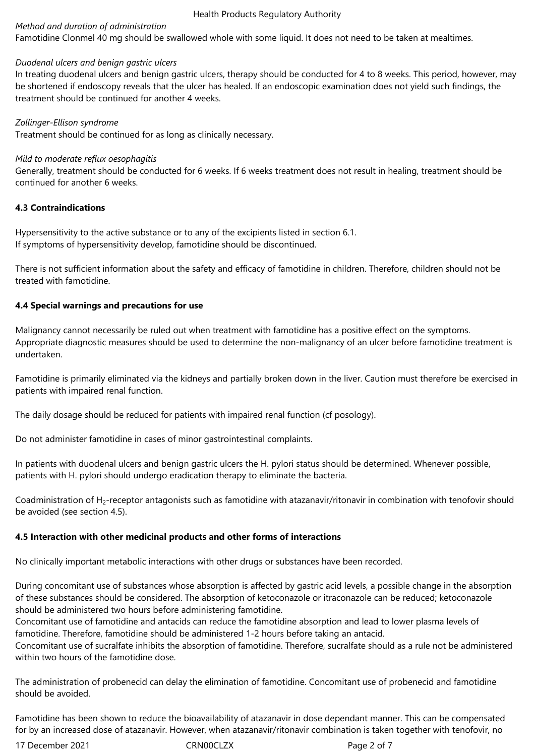#### Health Products Regulatory Authority

## *Method and duration of administration*

Famotidine Clonmel 40 mg should be swallowed whole with some liquid. It does not need to be taken at mealtimes.

## *Duodenal ulcers and benign gastric ulcers*

In treating duodenal ulcers and benign gastric ulcers, therapy should be conducted for 4 to 8 weeks. This period, however, may be shortened if endoscopy reveals that the ulcer has healed. If an endoscopic examination does not yield such findings, the treatment should be continued for another 4 weeks.

*Zollinger-Ellison syndrome*

Treatment should be continued for as long as clinically necessary.

## *Mild to moderate reflux oesophagitis*

Generally, treatment should be conducted for 6 weeks. If 6 weeks treatment does not result in healing, treatment should be continued for another 6 weeks.

## **4.3 Contraindications**

Hypersensitivity to the active substance or to any of the excipients listed in section 6.1. If symptoms of hypersensitivity develop, famotidine should be discontinued.

There is not sufficient information about the safety and efficacy of famotidine in children. Therefore, children should not be treated with famotidine.

## **4.4 Special warnings and precautions for use**

Malignancy cannot necessarily be ruled out when treatment with famotidine has a positive effect on the symptoms. Appropriate diagnostic measures should be used to determine the non-malignancy of an ulcer before famotidine treatment is undertaken.

Famotidine is primarily eliminated via the kidneys and partially broken down in the liver. Caution must therefore be exercised in patients with impaired renal function.

The daily dosage should be reduced for patients with impaired renal function (cf posology).

Do not administer famotidine in cases of minor gastrointestinal complaints.

In patients with duodenal ulcers and benign gastric ulcers the H. pylori status should be determined. Whenever possible, patients with H. pylori should undergo eradication therapy to eliminate the bacteria.

Coadministration of  $H_2$ -receptor antagonists such as famotidine with atazanavir/ritonavir in combination with tenofovir should be avoided (see section 4.5).

## **4.5 Interaction with other medicinal products and other forms of interactions**

No clinically important metabolic interactions with other drugs or substances have been recorded.

During concomitant use of substances whose absorption is affected by gastric acid levels, a possible change in the absorption of these substances should be considered. The absorption of ketoconazole or itraconazole can be reduced; ketoconazole should be administered two hours before administering famotidine.

Concomitant use of famotidine and antacids can reduce the famotidine absorption and lead to lower plasma levels of famotidine. Therefore, famotidine should be administered 1-2 hours before taking an antacid.

Concomitant use of sucralfate inhibits the absorption of famotidine. Therefore, sucralfate should as a rule not be administered within two hours of the famotidine dose.

The administration of probenecid can delay the elimination of famotidine. Concomitant use of probenecid and famotidine should be avoided.

Famotidine has been shown to reduce the bioavailability of atazanavir in dose dependant manner. This can be compensated for by an increased dose of atazanavir. However, when atazanavir/ritonavir combination is taken together with tenofovir, no

17 December 2021 CRN00CLZX Page 2 of 7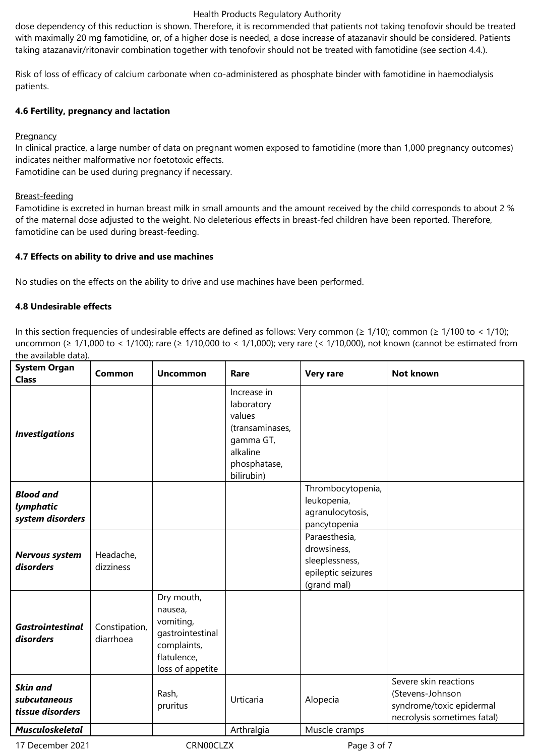#### Health Products Regulatory Authority

dose dependency of this reduction is shown. Therefore, it is recommended that patients not taking tenofovir should be treated with maximally 20 mg famotidine, or, of a higher dose is needed, a dose increase of atazanavir should be considered. Patients taking atazanavir/ritonavir combination together with tenofovir should not be treated with famotidine (see section 4.4.).

Risk of loss of efficacy of calcium carbonate when co-administered as phosphate binder with famotidine in haemodialysis patients.

## **4.6 Fertility, pregnancy and lactation**

## **Pregnancy**

In clinical practice, a large number of data on pregnant women exposed to famotidine (more than 1,000 pregnancy outcomes) indicates neither malformative nor foetotoxic effects.

Famotidine can be used during pregnancy if necessary.

## Breast-feeding

Famotidine is excreted in human breast milk in small amounts and the amount received by the child corresponds to about 2 % of the maternal dose adjusted to the weight. No deleterious effects in breast-fed children have been reported. Therefore, famotidine can be used during breast-feeding.

## **4.7 Effects on ability to drive and use machines**

No studies on the effects on the ability to drive and use machines have been performed.

## **4.8 Undesirable effects**

In this section frequencies of undesirable effects are defined as follows: Very common (≥ 1/10); common (≥ 1/100 to < 1/10); uncommon (≥ 1/1,000 to < 1/100); rare (≥ 1/10,000 to < 1/1,000); very rare (< 1/10,000), not known (cannot be estimated from the available data).

| <b>System Organ</b><br><b>Class</b>                 | Common                     | <b>Uncommon</b>                                                                                          | Rare                                                                                                          | <b>Very rare</b>                                                                    | <b>Not known</b>                                                                                     |
|-----------------------------------------------------|----------------------------|----------------------------------------------------------------------------------------------------------|---------------------------------------------------------------------------------------------------------------|-------------------------------------------------------------------------------------|------------------------------------------------------------------------------------------------------|
| <b>Investigations</b>                               |                            |                                                                                                          | Increase in<br>laboratory<br>values<br>(transaminases,<br>gamma GT,<br>alkaline<br>phosphatase,<br>bilirubin) |                                                                                     |                                                                                                      |
| <b>Blood and</b><br>lymphatic<br>system disorders   |                            |                                                                                                          |                                                                                                               | Thrombocytopenia,<br>leukopenia,<br>agranulocytosis,<br>pancytopenia                |                                                                                                      |
| Nervous system<br>disorders                         | Headache,<br>dizziness     |                                                                                                          |                                                                                                               | Paraesthesia,<br>drowsiness,<br>sleeplessness,<br>epileptic seizures<br>(grand mal) |                                                                                                      |
| <b>Gastrointestinal</b><br>disorders                | Constipation,<br>diarrhoea | Dry mouth,<br>nausea,<br>vomiting,<br>gastrointestinal<br>complaints,<br>flatulence,<br>loss of appetite |                                                                                                               |                                                                                     |                                                                                                      |
| <b>Skin and</b><br>subcutaneous<br>tissue disorders |                            | Rash,<br>pruritus                                                                                        | Urticaria                                                                                                     | Alopecia                                                                            | Severe skin reactions<br>(Stevens-Johnson<br>syndrome/toxic epidermal<br>necrolysis sometimes fatal) |
| <b>Musculoskeletal</b>                              |                            |                                                                                                          | Arthralgia                                                                                                    | Muscle cramps                                                                       |                                                                                                      |

17 December 2021 CRN00CLZX Page 3 of 7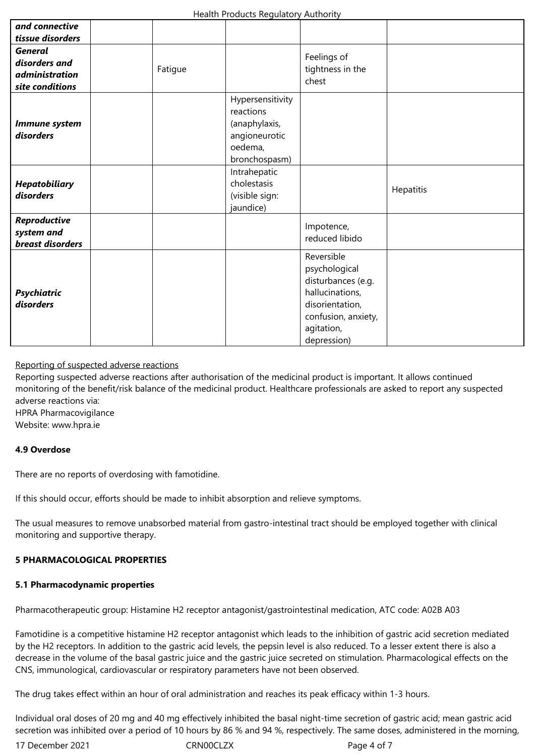| and connective<br>tissue disorders                                          |         |                                                                                             |                                                                                                                                             |           |
|-----------------------------------------------------------------------------|---------|---------------------------------------------------------------------------------------------|---------------------------------------------------------------------------------------------------------------------------------------------|-----------|
| <b>General</b><br>disorders and<br><i>administration</i><br>site conditions | Fatigue |                                                                                             | Feelings of<br>tightness in the<br>chest                                                                                                    |           |
| Immune system<br>disorders                                                  |         | Hypersensitivity<br>reactions<br>(anaphylaxis,<br>angioneurotic<br>oedema,<br>bronchospasm) |                                                                                                                                             |           |
| <b>Hepatobiliary</b><br>disorders                                           |         | Intrahepatic<br>cholestasis<br>(visible sign:<br>jaundice)                                  |                                                                                                                                             | Hepatitis |
| Reproductive<br>system and<br>breast disorders                              |         |                                                                                             | Impotence,<br>reduced libido                                                                                                                |           |
| <b>Psychiatric</b><br>disorders                                             |         |                                                                                             | Reversible<br>psychological<br>disturbances (e.g.<br>hallucinations,<br>disorientation,<br>confusion, anxiety,<br>agitation,<br>depression) |           |

## Reporting of suspected adverse reactions

Reporting suspected adverse reactions after authorisation of the medicinal product is important. It allows continued monitoring of the benefit/risk balance of the medicinal product. Healthcare professionals are asked to report any suspected adverse reactions via:

HPRA Pharmacovigilance

Website: www.hpra.ie

## **4.9 Overdose**

There are no reports of overdosing with famotidine.

If this should occur, efforts should be made to inhibit absorption and relieve symptoms.

The usual measures to remove unabsorbed material from gastro-intestinal tract should be employed together with clinical monitoring and supportive therapy.

## **5 PHARMACOLOGICAL PROPERTIES**

## **5.1 Pharmacodynamic properties**

Pharmacotherapeutic group: Histamine H2 receptor antagonist/gastrointestinal medication, ATC code: A02B A03

Famotidine is a competitive histamine H2 receptor antagonist which leads to the inhibition of gastric acid secretion mediated by the H2 receptors. In addition to the gastric acid levels, the pepsin level is also reduced. To a lesser extent there is also a decrease in the volume of the basal gastric juice and the gastric juice secreted on stimulation. Pharmacological effects on the CNS, immunological, cardiovascular or respiratory parameters have not been observed.

The drug takes effect within an hour of oral administration and reaches its peak efficacy within 1-3 hours.

Individual oral doses of 20 mg and 40 mg effectively inhibited the basal night-time secretion of gastric acid; mean gastric acid secretion was inhibited over a period of 10 hours by 86 % and 94 %, respectively. The same doses, administered in the morning,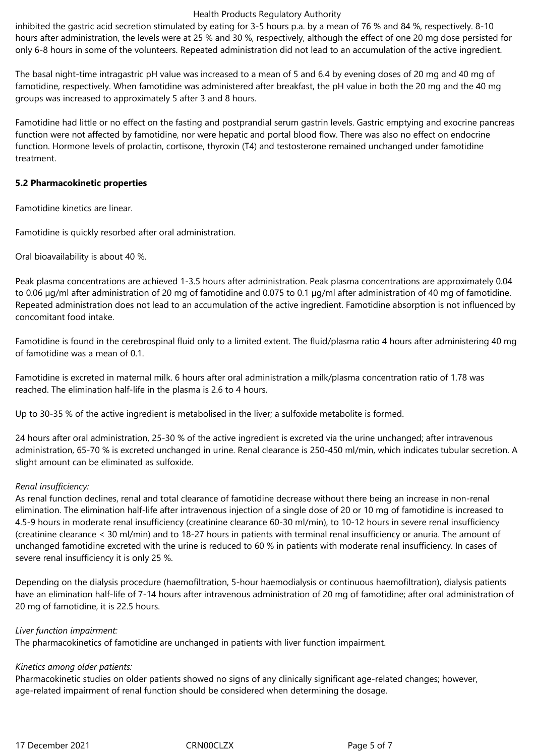#### Health Products Regulatory Authority

inhibited the gastric acid secretion stimulated by eating for 3-5 hours p.a. by a mean of 76 % and 84 %, respectively. 8-10 hours after administration, the levels were at 25 % and 30 %, respectively, although the effect of one 20 mg dose persisted for only 6-8 hours in some of the volunteers. Repeated administration did not lead to an accumulation of the active ingredient.

The basal night-time intragastric pH value was increased to a mean of 5 and 6.4 by evening doses of 20 mg and 40 mg of famotidine, respectively. When famotidine was administered after breakfast, the pH value in both the 20 mg and the 40 mg groups was increased to approximately 5 after 3 and 8 hours.

Famotidine had little or no effect on the fasting and postprandial serum gastrin levels. Gastric emptying and exocrine pancreas function were not affected by famotidine, nor were hepatic and portal blood flow. There was also no effect on endocrine function. Hormone levels of prolactin, cortisone, thyroxin (T4) and testosterone remained unchanged under famotidine treatment.

## **5.2 Pharmacokinetic properties**

Famotidine kinetics are linear.

Famotidine is quickly resorbed after oral administration.

Oral bioavailability is about 40 %.

Peak plasma concentrations are achieved 1-3.5 hours after administration. Peak plasma concentrations are approximately 0.04 to 0.06 µg/ml after administration of 20 mg of famotidine and 0.075 to 0.1 µg/ml after administration of 40 mg of famotidine. Repeated administration does not lead to an accumulation of the active ingredient. Famotidine absorption is not influenced by concomitant food intake.

Famotidine is found in the cerebrospinal fluid only to a limited extent. The fluid/plasma ratio 4 hours after administering 40 mg of famotidine was a mean of 0.1.

Famotidine is excreted in maternal milk. 6 hours after oral administration a milk/plasma concentration ratio of 1.78 was reached. The elimination half-life in the plasma is 2.6 to 4 hours.

Up to 30-35 % of the active ingredient is metabolised in the liver; a sulfoxide metabolite is formed.

24 hours after oral administration, 25-30 % of the active ingredient is excreted via the urine unchanged; after intravenous administration, 65-70 % is excreted unchanged in urine. Renal clearance is 250-450 ml/min, which indicates tubular secretion. A slight amount can be eliminated as sulfoxide.

## *Renal insufficiency:*

As renal function declines, renal and total clearance of famotidine decrease without there being an increase in non-renal elimination. The elimination half-life after intravenous injection of a single dose of 20 or 10 mg of famotidine is increased to 4.5-9 hours in moderate renal insufficiency (creatinine clearance 60-30 ml/min), to 10-12 hours in severe renal insufficiency (creatinine clearance < 30 ml/min) and to 18-27 hours in patients with terminal renal insufficiency or anuria. The amount of unchanged famotidine excreted with the urine is reduced to 60 % in patients with moderate renal insufficiency. In cases of severe renal insufficiency it is only 25 %.

Depending on the dialysis procedure (haemofiltration, 5-hour haemodialysis or continuous haemofiltration), dialysis patients have an elimination half-life of 7-14 hours after intravenous administration of 20 mg of famotidine; after oral administration of 20 mg of famotidine, it is 22.5 hours.

## *Liver function impairment:*

The pharmacokinetics of famotidine are unchanged in patients with liver function impairment.

## *Kinetics among older patients:*

Pharmacokinetic studies on older patients showed no signs of any clinically significant age-related changes; however, age-related impairment of renal function should be considered when determining the dosage.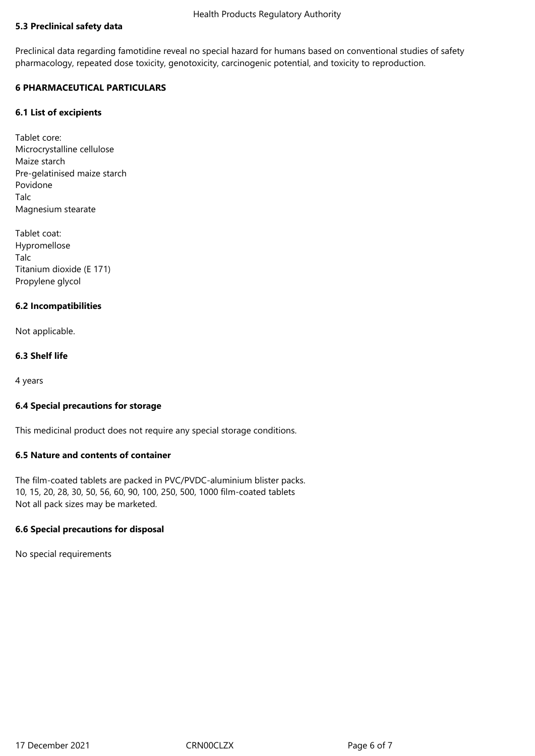# **5.3 Preclinical safety data**

Preclinical data regarding famotidine reveal no special hazard for humans based on conventional studies of safety pharmacology, repeated dose toxicity, genotoxicity, carcinogenic potential, and toxicity to reproduction.

## **6 PHARMACEUTICAL PARTICULARS**

## **6.1 List of excipients**

Tablet core: Microcrystalline cellulose Maize starch Pre-gelatinised maize starch Povidone Talc Magnesium stearate

Tablet coat: Hypromellose Talc Titanium dioxide (E 171) Propylene glycol

## **6.2 Incompatibilities**

Not applicable.

## **6.3 Shelf life**

4 years

## **6.4 Special precautions for storage**

This medicinal product does not require any special storage conditions.

## **6.5 Nature and contents of container**

The film-coated tablets are packed in PVC/PVDC-aluminium blister packs. 10, 15, 20, 28, 30, 50, 56, 60, 90, 100, 250, 500, 1000 film-coated tablets Not all pack sizes may be marketed.

## **6.6 Special precautions for disposal**

No special requirements